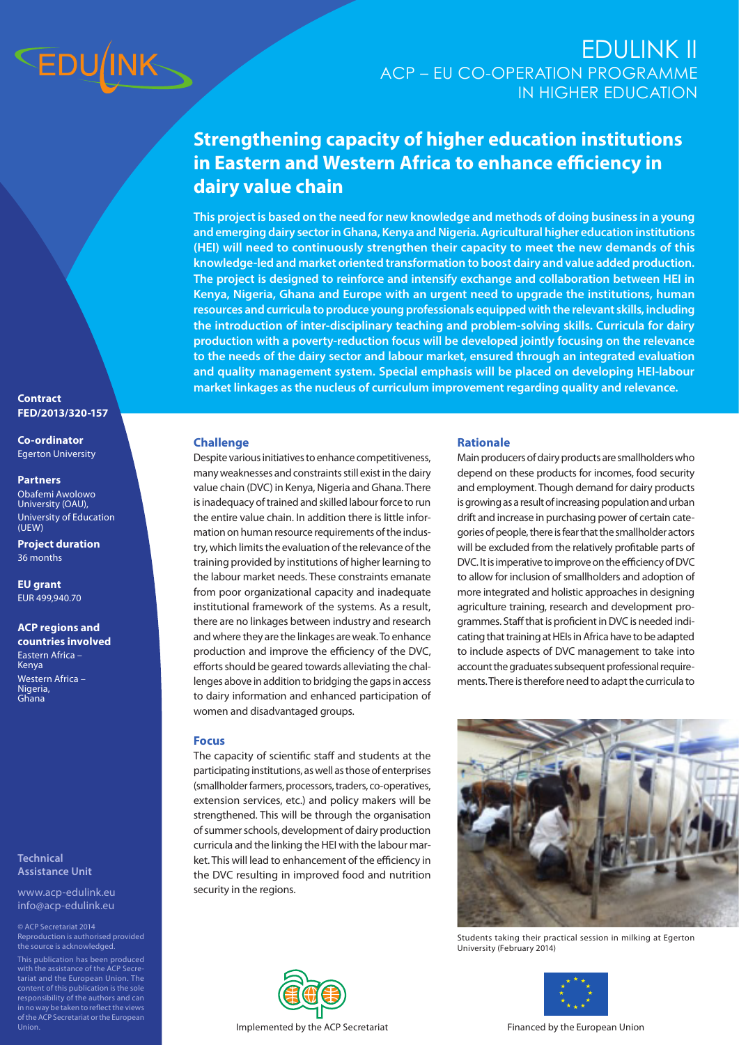

# ACP – EU CO-OPERATION PROGRAMME IN HIGHER EDUCATION EDULINK II

# **Strengthening capacity of higher education institutions in Eastern and Western Africa to enhance efficiency in dairy value chain**

**This project is based on the need for new knowledge and methods of doing business in a young and emerging dairy sector in Ghana, Kenya and Nigeria. Agricultural higher education institutions (HEI) will need to continuously strengthen their capacity to meet the new demands of this knowledge-led and market oriented transformation to boost dairy and value added production. The project is designed to reinforce and intensify exchange and collaboration between HEI in Kenya, Nigeria, Ghana and Europe with an urgent need to upgrade the institutions, human resources and curricula to produce young professionals equipped with the relevant skills, including the introduction of inter-disciplinary teaching and problem-solving skills. Curricula for dairy production with a poverty-reduction focus will be developed jointly focusing on the relevance to the needs of the dairy sector and labour market, ensured through an integrated evaluation and quality management system. Special emphasis will be placed on developing HEI-labour market linkages as the nucleus of curriculum improvement regarding quality and relevance.**

#### **Contract FED/2013/320-157**

#### **Co-ordinator** Egerton University

#### **Partners**

Obafemi Awolowo University (OAU), University of Education (UEW)

**Project duration** 36 months

**EU grant** EUR 499,940.70

**ACP regions and countries involved** Eastern Africa – **Kenya** Western Africa – Nigeria, Ghana

### **Technical Assistance Unit**

www.acp-edulink.eu info@acp-edulink.eu

Reproduction is authorised provided the source is acknowledged. with the assistance of the ACP Secretariat and the European Union. The content of this publication is the sole responsibility of the authors and can in no way be taken to reflect the views of the ACP Secretariat or the European

## **Challenge**

Despite various initiatives to enhance competitiveness, many weaknesses and constraints still exist in the dairy value chain (DVC) in Kenya, Nigeria and Ghana. There is inadequacy of trained and skilled labour force to run the entire value chain. In addition there is little information on human resource requirements of the industry, which limits the evaluation of the relevance of the training provided by institutions of higher learning to the labour market needs. These constraints emanate from poor organizational capacity and inadequate institutional framework of the systems. As a result, there are no linkages between industry and research and where they are the linkages are weak. To enhance production and improve the efficiency of the DVC, efforts should be geared towards alleviating the challenges above in addition to bridging the gaps in access to dairy information and enhanced participation of women and disadvantaged groups.

## **Focus**

The capacity of scientific staff and students at the participating institutions, as well as those of enterprises (smallholder farmers, processors, traders, co-operatives, extension services, etc.) and policy makers will be strengthened. This will be through the organisation of summer schools, development of dairy production curricula and the linking the HEI with the labour market. This will lead to enhancement of the efficiency in the DVC resulting in improved food and nutrition security in the regions.



## **Rationale**

Main producers of dairy products are smallholders who depend on these products for incomes, food security and employment. Though demand for dairy products is growing as a result of increasing population and urban drift and increase in purchasing power of certain categories of people, there is fear that the smallholder actors will be excluded from the relatively profitable parts of DVC. It is imperative to improve on the efficiency of DVC to allow for inclusion of smallholders and adoption of more integrated and holistic approaches in designing agriculture training, research and development programmes. Staff that is proficient in DVC is needed indicating that training at HEIs in Africa have to be adapted to include aspects of DVC management to take into account the graduates subsequent professional requirements. There is therefore need to adapt the curricula to



Students taking their practical session in milking at Egerton University (February 2014)



Implemented by the ACP Secretariat Financed by the European Union